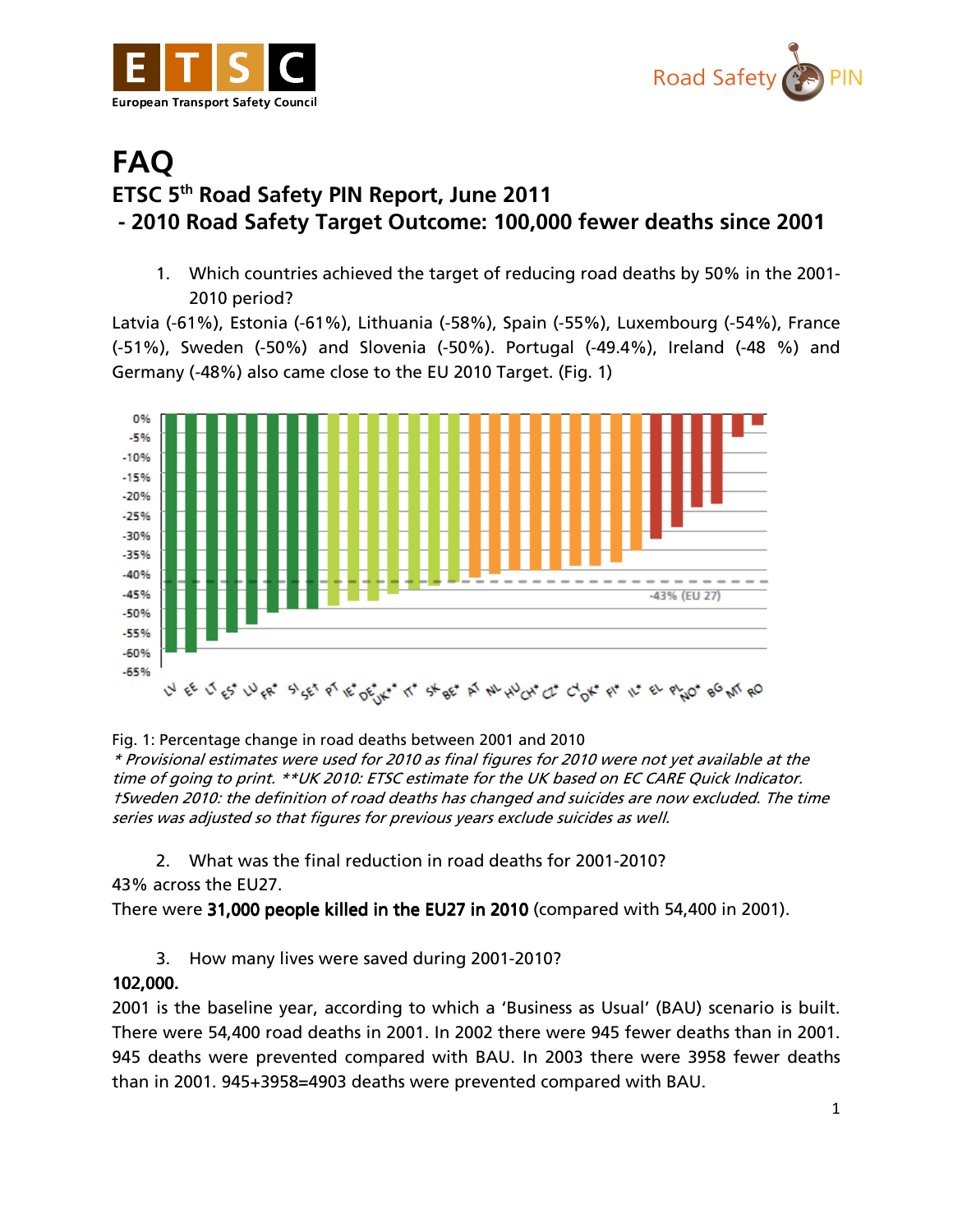



## FAQ ETSC 5th Road Safety PIN Report, June 2011 - 2010 Road Safety Target Outcome: 100,000 fewer deaths since 2001

1. Which countries achieved the target of reducing road deaths by 50% in the 2001- 2010 period?

Latvia (-61%), Estonia (-61%), Lithuania (-58%), Spain (-55%), Luxembourg (-54%), France (-51%), Sweden (-50%) and Slovenia (-50%). Portugal (-49.4%), Ireland (-48 %) and Germany (-48%) also came close to the EU 2010 Target. (Fig. 1)



Fig. 1: Percentage change in road deaths between 2001 and 2010

\* Provisional estimates were used for 2010 as final figures for 2010 were not yet available at the time of going to print. \*\*UK 2010: ETSC estimate for the UK based on EC CARE Quick Indicator. †Sweden 2010: the definition of road deaths has changed and suicides are now excluded. The time series was adjusted so that figures for previous years exclude suicides as well.

2. What was the final reduction in road deaths for 2001-2010?

43% across the EU27.

There were 31,000 people killed in the EU27 in 2010 (compared with 54,400 in 2001).

3. How many lives were saved during 2001-2010?

## 102,000.

2001 is the baseline year, according to which a 'Business as Usual' (BAU) scenario is built. There were 54,400 road deaths in 2001. In 2002 there were 945 fewer deaths than in 2001. 945 deaths were prevented compared with BAU. In 2003 there were 3958 fewer deaths than in 2001. 945+3958=4903 deaths were prevented compared with BAU.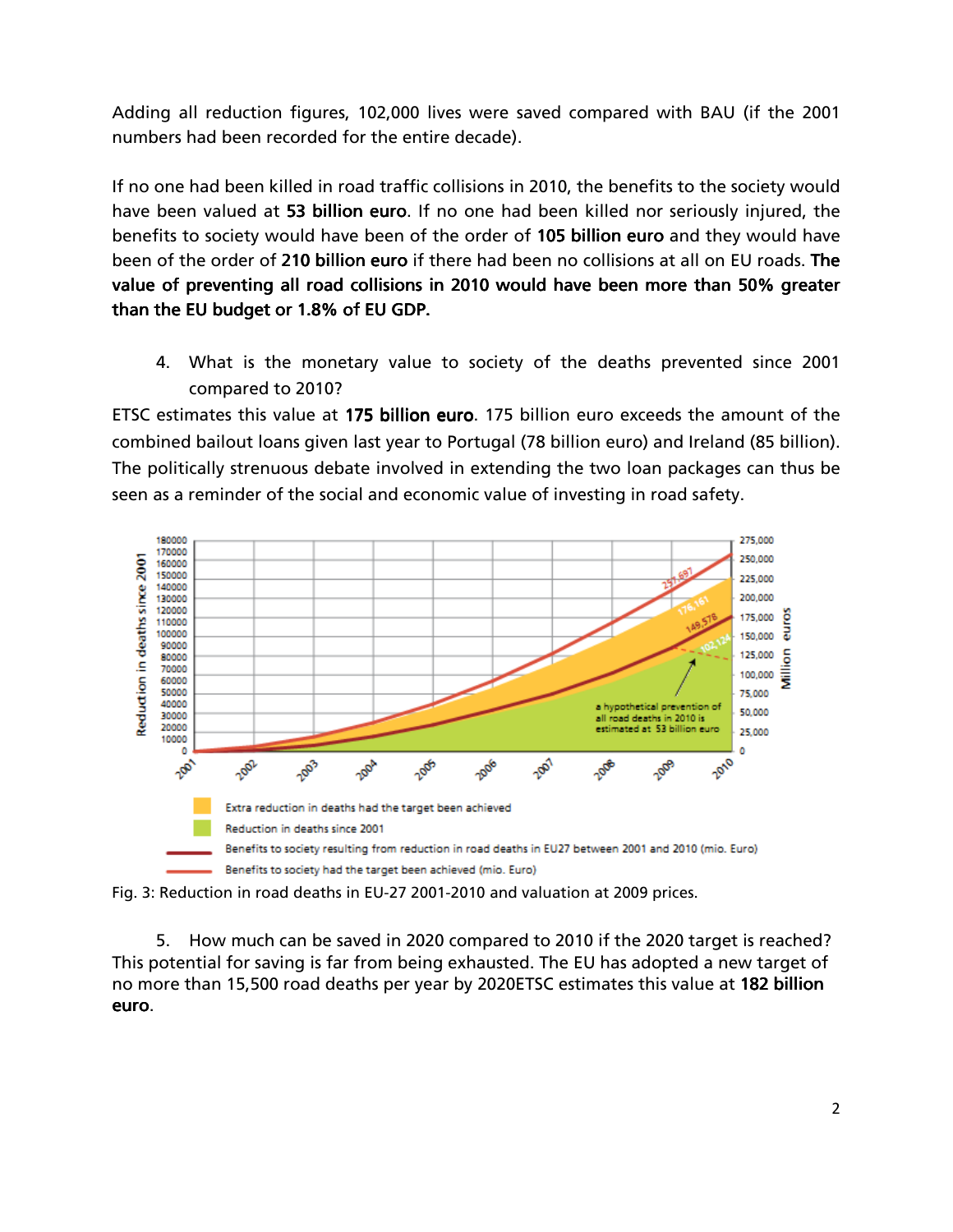Adding all reduction figures, 102,000 lives were saved compared with BAU (if the 2001 numbers had been recorded for the entire decade).

If no one had been killed in road traffic collisions in 2010, the benefits to the society would have been valued at 53 billion euro. If no one had been killed nor seriously injured, the benefits to society would have been of the order of 105 billion euro and they would have been of the order of 210 billion euro if there had been no collisions at all on EU roads. The value of preventing all road collisions in 2010 would have been more than 50% greater than the EU budget or 1.8% of EU GDP.

4. What is the monetary value to society of the deaths prevented since 2001 compared to 2010?

ETSC estimates this value at 175 billion euro. 175 billion euro exceeds the amount of the combined bailout loans given last year to Portugal (78 billion euro) and Ireland (85 billion). The politically strenuous debate involved in extending the two loan packages can thus be seen as a reminder of the social and economic value of investing in road safety.





5. How much can be saved in 2020 compared to 2010 if the 2020 target is reached? This potential for saving is far from being exhausted. The EU has adopted a new target of no more than 15,500 road deaths per year by 2020ETSC estimates this value at 182 billion euro.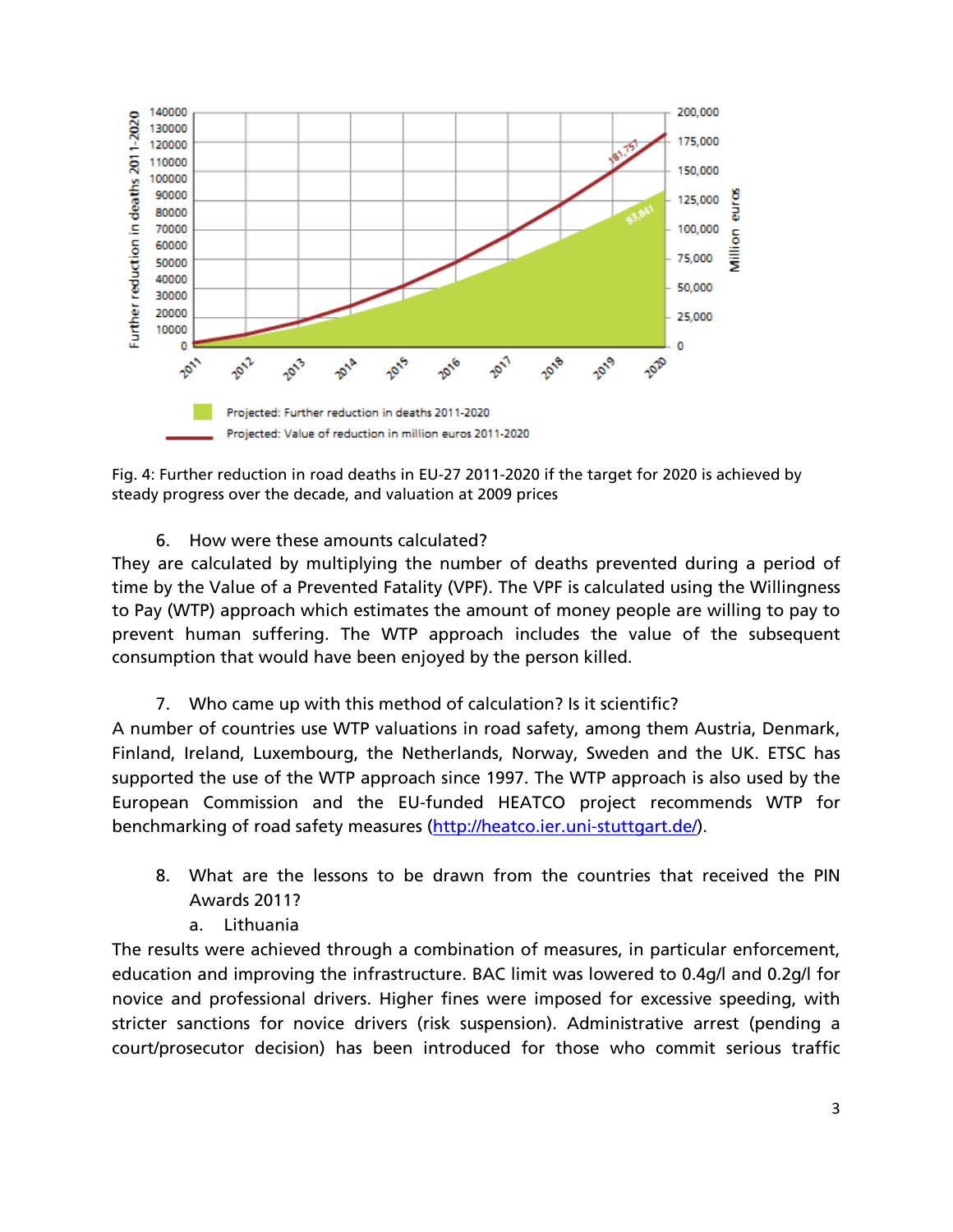

Fig. 4: Further reduction in road deaths in EU-27 2011-2020 if the target for 2020 is achieved by steady progress over the decade, and valuation at 2009 prices

6. How were these amounts calculated?

They are calculated by multiplying the number of deaths prevented during a period of time by the Value of a Prevented Fatality (VPF). The VPF is calculated using the Willingness to Pay (WTP) approach which estimates the amount of money people are willing to pay to prevent human suffering. The WTP approach includes the value of the subsequent consumption that would have been enjoyed by the person killed.

7. Who came up with this method of calculation? Is it scientific?

A number of countries use WTP valuations in road safety, among them Austria, Denmark, Finland, Ireland, Luxembourg, the Netherlands, Norway, Sweden and the UK. ETSC has supported the use of the WTP approach since 1997. The WTP approach is also used by the European Commission and the EU-funded HEATCO project recommends WTP for benchmarking of road safety measures (http://heatco.ier.uni-stuttgart.de/).

- 8. What are the lessons to be drawn from the countries that received the PIN Awards 2011?
	- a. Lithuania

The results were achieved through a combination of measures, in particular enforcement, education and improving the infrastructure. BAC limit was lowered to 0.4g/l and 0.2g/l for novice and professional drivers. Higher fines were imposed for excessive speeding, with stricter sanctions for novice drivers (risk suspension). Administrative arrest (pending a court/prosecutor decision) has been introduced for those who commit serious traffic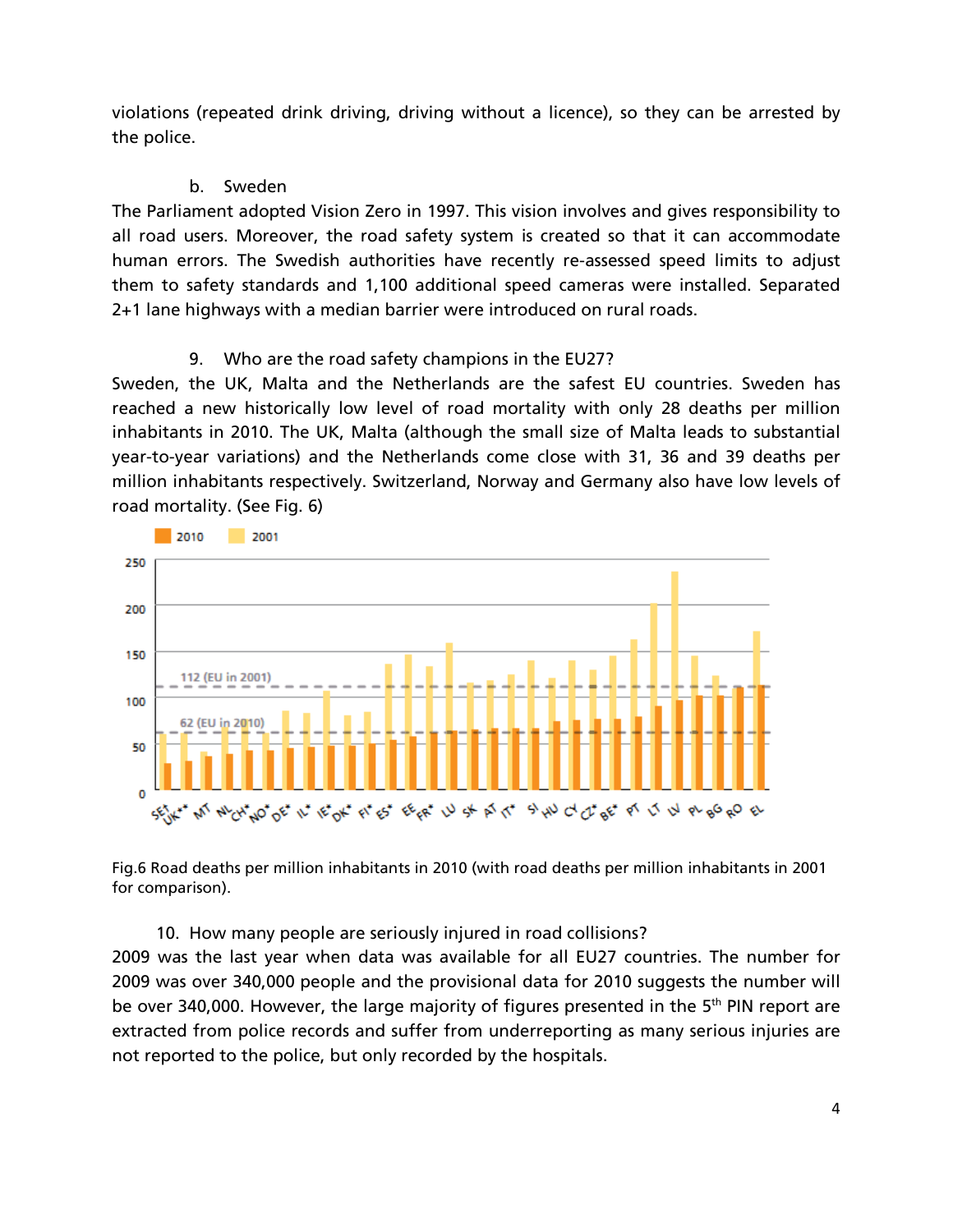violations (repeated drink driving, driving without a licence), so they can be arrested by the police.

## b. Sweden

The Parliament adopted Vision Zero in 1997. This vision involves and gives responsibility to all road users. Moreover, the road safety system is created so that it can accommodate human errors. The Swedish authorities have recently re-assessed speed limits to adjust them to safety standards and 1,100 additional speed cameras were installed. Separated 2+1 lane highways with a median barrier were introduced on rural roads.

## 9. Who are the road safety champions in the EU27?

Sweden, the UK, Malta and the Netherlands are the safest EU countries. Sweden has reached a new historically low level of road mortality with only 28 deaths per million inhabitants in 2010. The UK, Malta (although the small size of Malta leads to substantial year-to-year variations) and the Netherlands come close with 31, 36 and 39 deaths per million inhabitants respectively. Switzerland, Norway and Germany also have low levels of road mortality. (See Fig. 6)



Fig.6 Road deaths per million inhabitants in 2010 (with road deaths per million inhabitants in 2001 for comparison).

10. How many people are seriously injured in road collisions?

2009 was the last year when data was available for all EU27 countries. The number for 2009 was over 340,000 people and the provisional data for 2010 suggests the number will be over 340,000. However, the large majority of figures presented in the 5<sup>th</sup> PIN report are extracted from police records and suffer from underreporting as many serious injuries are not reported to the police, but only recorded by the hospitals.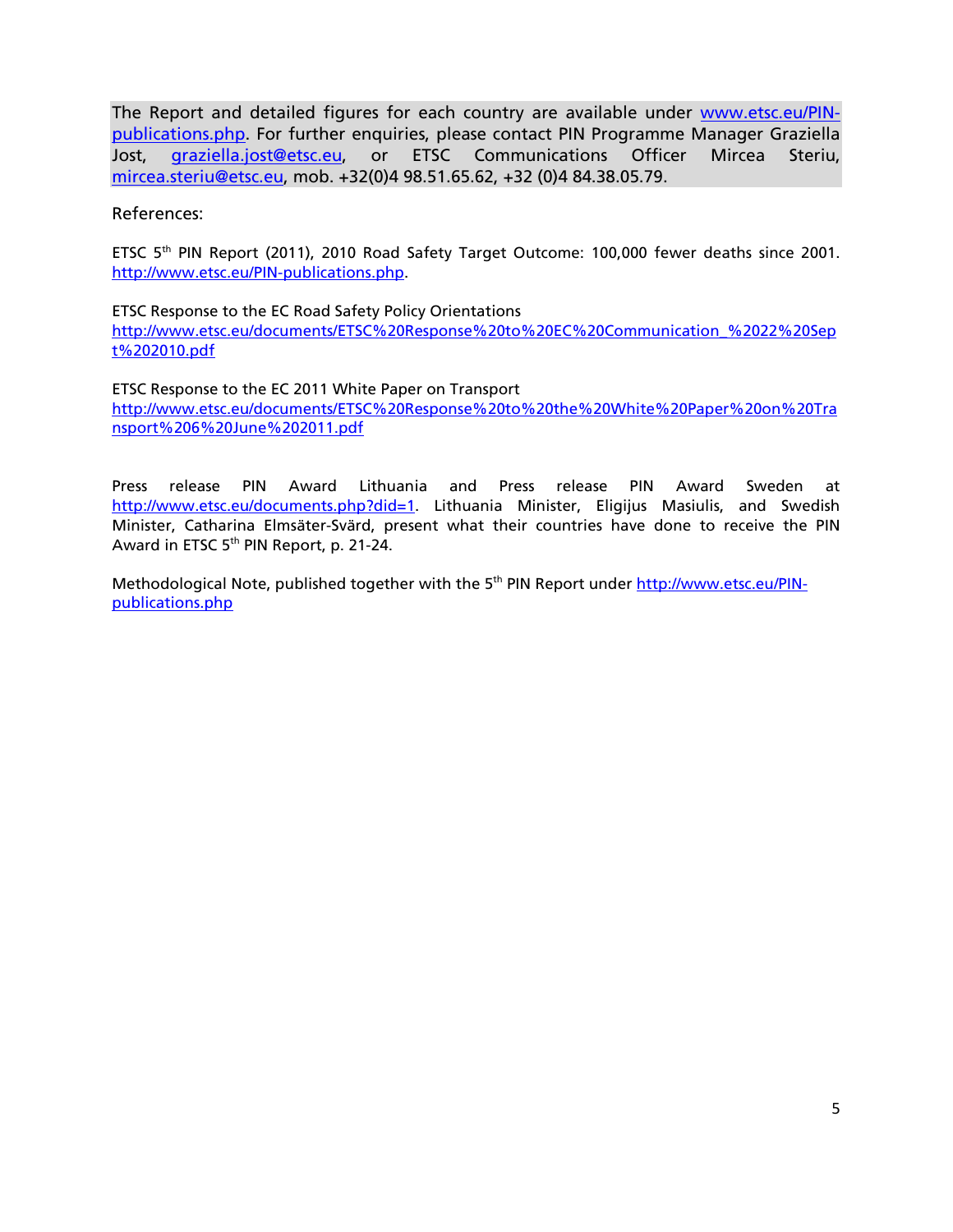The Report and detailed figures for each country are available under www.etsc.eu/PINpublications.php. For further enquiries, please contact PIN Programme Manager Graziella Jost, graziella.jost@etsc.eu, or ETSC Communications Officer Mircea Steriu, mircea.steriu@etsc.eu, mob. +32(0)4 98.51.65.62, +32 (0)4 84.38.05.79.

References:

ETSC 5th PIN Report (2011), 2010 Road Safety Target Outcome: 100,000 fewer deaths since 2001. http://www.etsc.eu/PIN-publications.php.

ETSC Response to the EC Road Safety Policy Orientations http://www.etsc.eu/documents/ETSC%20Response%20to%20EC%20Communication\_%2022%20Sep t%202010.pdf

ETSC Response to the EC 2011 White Paper on Transport http://www.etsc.eu/documents/ETSC%20Response%20to%20the%20White%20Paper%20on%20Tra nsport%206%20June%202011.pdf

Press release PIN Award Lithuania and Press release PIN Award Sweden at http://www.etsc.eu/documents.php?did=1. Lithuania Minister, Eligijus Masiulis, and Swedish Minister, Catharina Elmsäter-Svärd, present what their countries have done to receive the PIN Award in ETSC 5th PIN Report, p. 21-24.

Methodological Note, published together with the 5<sup>th</sup> PIN Report under http://www.etsc.eu/PINpublications.php